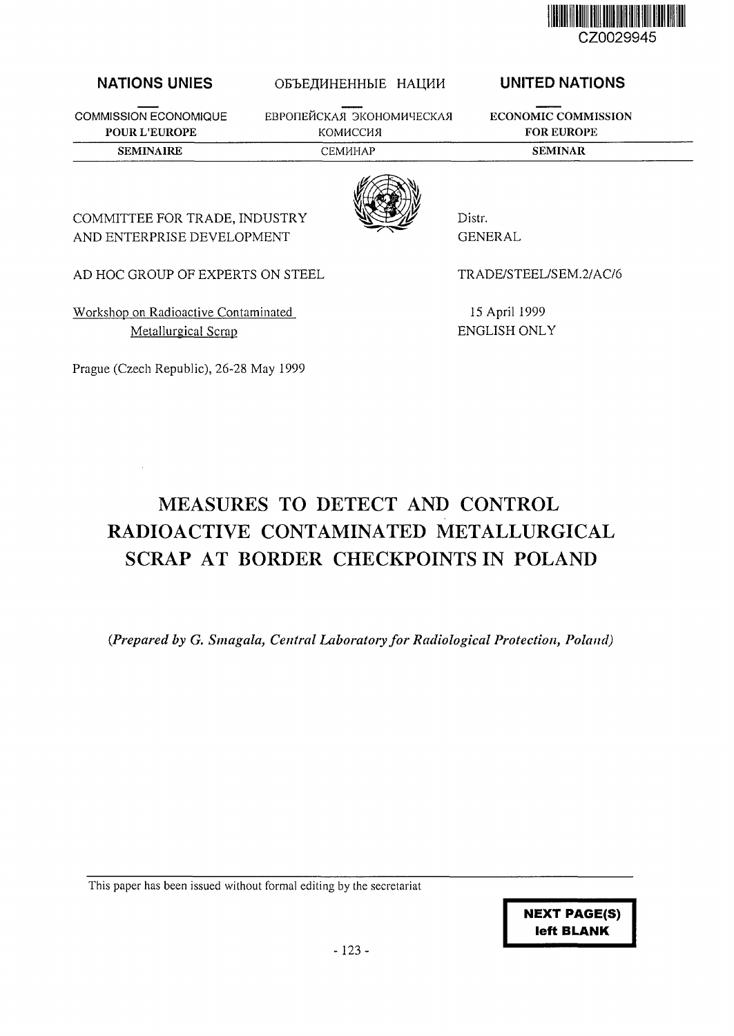

## NATIONS UNIES

**COMMISSION ECONOMIQUE POUR L'EUROPE**

## ОБЪЕДИНЕННЫЕ НАЦИИ

EBPOПЕЙСКАЯ ЭКОНОМИЧЕСКАЯ КОМИССИЯ **SEMINAIRE** CEMHHAP **SEMINAR**

UNITED NATIONS

**ECONOMIC COMMISSION FOR EUROPE**



Distr. GENERAL

AD HOC GROUP OF EXPERTS ON STEEL

COMMITTEE FOR TRADE, INDUSTRY AND ENTERPRISE DEVELOPMENT

Workshop on Radioactive Contaminated Metallurgical Scrap

Prague (Czech Republic), 26-28 May 1999

TRADE/STEEL/SEM.2/AC/6

15 April 1999 ENGLISH ONLY

# MEASURES TO DETECT AND CONTROL RADIOACTIVE CONTAMINATED METALLURGICAL SCRAP AT BORDER CHECKPOINTS IN POLAND

*{Prepared by G. Smagala, Central Laboratory for Radiological Protection, Poland)*

This paper has been issued without formal editing by the secretariat

**NEXT PAGE(S) left BLANK**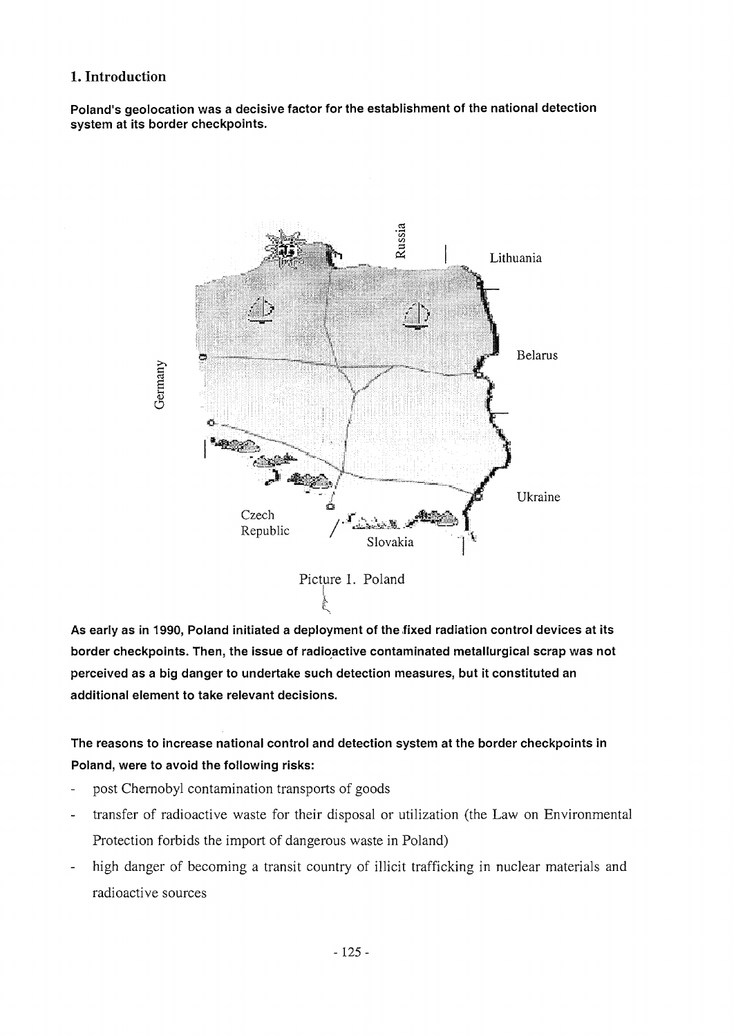## **1. Introduction**

Poland's geolocation was a decisive factor for the establishment of the national detection system at its border checkpoints.



As early as in 1990, Poland initiated a deployment of the fixed radiation control devices at its border checkpoints. Then, the issue of radioactive contaminated metallurgical scrap was not perceived as a big danger to undertake such detection measures, but it constituted an additional element to take relevant decisions.

# The reasons to increase national control and detection system at the border checkpoints in Poland, were to avoid the following risks:

- post Chernobyl contamination transports of goods  $\overline{a}$
- transfer of radioactive waste for their disposal or utilization (the Law on Environmental L Protection forbids the import of dangerous waste in Poland)
- high danger of becoming a transit country of illicit trafficking in nuclear materials and radioactive sources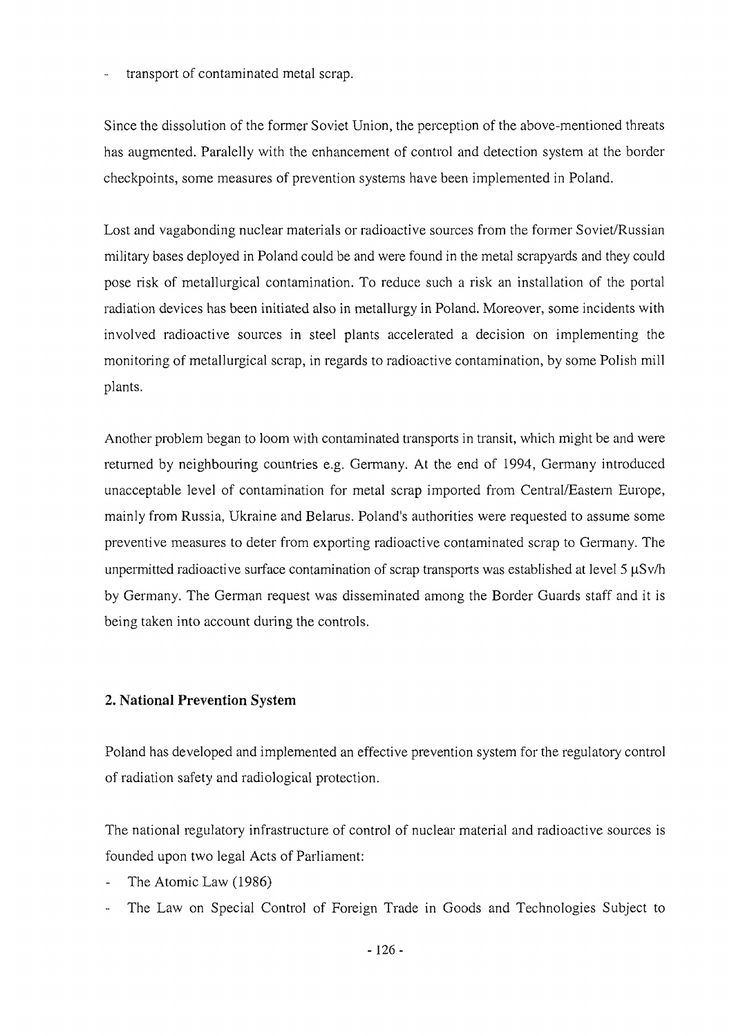transport of contaminated metal scrap.

Since the dissolution of the former Soviet Union, the perception of the above-mentioned threats has augmented. Paralelly with the enhancement of control and detection system at the border checkpoints, some measures of prevention systems have been implemented in Poland.

Lost and vagabonding nuclear materials or radioactive sources from the former Soviet/Russian military bases deployed in Poland could be and were found in the metal scrapyards and they could pose risk of metallurgical contamination. To reduce such a risk an installation of the portal radiation devices has been initiated also in metallurgy in Poland. Moreover, some incidents with involved radioactive sources in steel plants accelerated a decision on implementing the monitoring of metallurgical scrap, in regards to radioactive contamination, by some Polish mill plants.

Another problem began to loom with contaminated transports in transit, which might be and were returned by neighbouring countries e.g. Germany. At the end of 1994, Germany introduced unacceptable level of contamination for metal scrap imported from Central/Eastern Europe, mainly from Russia, Ukraine and Belarus. Poland's authorities were requested to assume some preventive measures to deter from exporting radioactive contaminated scrap to Germany. The unpermitted radioactive surface contamination of scrap transports was established at level 5  $\mu$ Sv/h by Germany. The German request was disseminated among the Border Guards staff and it is being taken into account during the controls.

## **2. National Prevention System**

Poland has developed and implemented an effective prevention system for the regulatory control of radiation safety and radiological protection.

The national regulatory infrastructure of control of nuclear material and radioactive sources is founded upon two legal Acts of Parliament:

- The Atomic Law (1986)
- The Law on Special Control of Foreign Trade in Goods and Technologies Subject to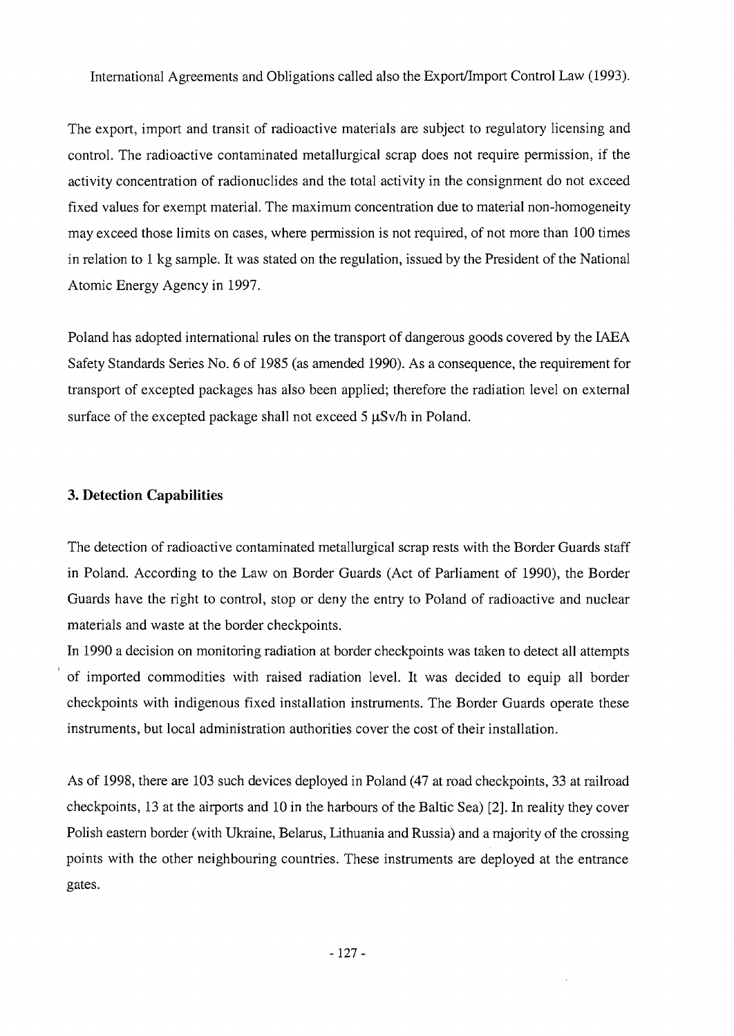#### International Agreements and Obligations called also the Export/Import Control Law (1993).

The export, import and transit of radioactive materials are subject to regulatory licensing and control. The radioactive contaminated metallurgical scrap does not require permission, if the activity concentration of radionuclides and the total activity in the consignment do not exceed fixed values for exempt material. The maximum concentration due to material non-homogeneity may exceed those limits on cases, where permission is not required, of not more than 100 times in relation to 1 kg sample. It was stated on the regulation, issued by the President of the National Atomic Energy Agency in 1997.

Poland has adopted international rules on the transport of dangerous goods covered by the IAEA Safety Standards Series No. 6 of 1985 (as amended 1990). As a consequence, the requirement for transport of excepted packages has also been applied; therefore the radiation level on external surface of the excepted package shall not exceed  $5 \mu Sv/h$  in Poland.

#### **3. Detection Capabilities**

The detection of radioactive contaminated metallurgical scrap rests with the Border Guards staff in Poland. According to the Law on Border Guards (Act of Parliament of 1990), the Border Guards have the right to control, stop or deny the entry to Poland of radioactive and nuclear materials and waste at the border checkpoints.

In 1990 a decision on monitoring radiation at border checkpoints was taken to detect all attempts of imported commodities with raised radiation level. It was decided to equip all border checkpoints with indigenous fixed installation instruments. The Border Guards operate these instruments, but local administration authorities cover the cost of their installation.

As of 1998, there are 103 such devices deployed in Poland (47 at road checkpoints, 33 at railroad checkpoints, 13 at the airports and 10 in the harbours of the Baltic Sea) [2]. In reality they cover Polish eastern border (with Ukraine, Belarus, Lithuania and Russia) and a majority of the crossing points with the other neighbouring countries. These instruments are deployed at the entrance gates.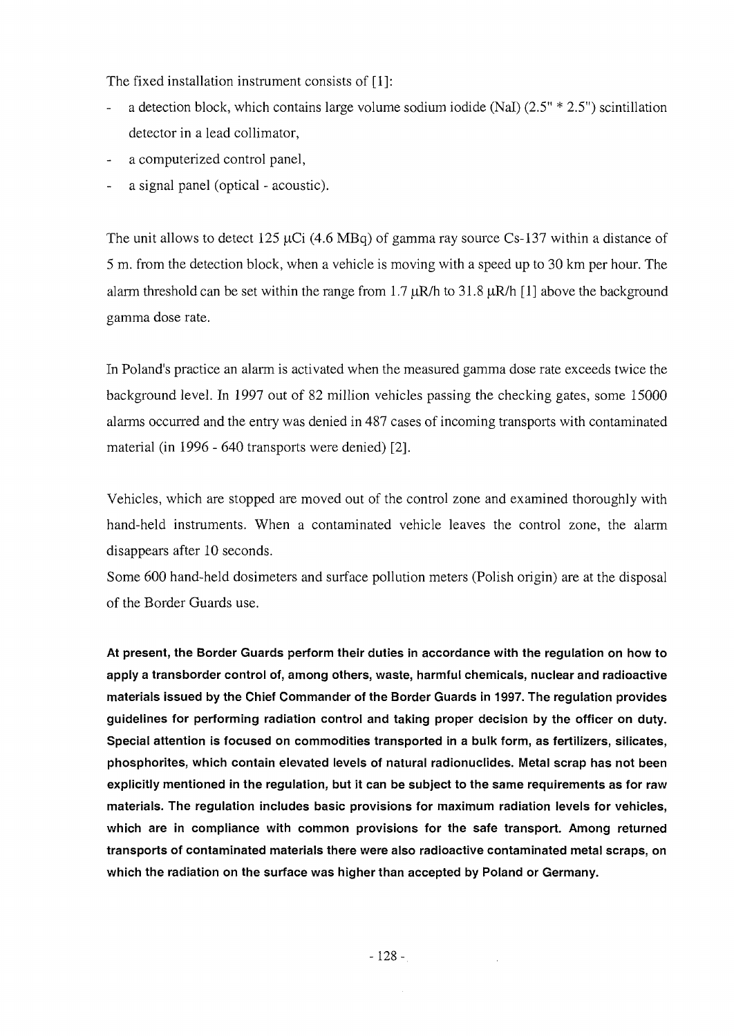The fixed installation instrument consists of [1]:

- a detection block, which contains large volume sodium iodide (Nal) (2.5" \* 2.5") scintillation detector in a lead collimator,
- a computerized control panel,
- a signal panel (optical acoustic).

The unit allows to detect 125  $\mu$ Ci (4.6 MBq) of gamma ray source Cs-137 within a distance of 5 m. from the detection block, when a vehicle is moving with a speed up to 30 km per hour. The alarm threshold can be set within the range from  $1.7 \mu R/h$  to  $31.8 \mu R/h$  [1] above the background gamma dose rate.

In Poland's practice an alarm is activated when the measured gamma dose rate exceeds twice the background level. In 1997 out of 82 million vehicles passing the checking gates, some 15000 alarms occurred and the entry was denied in 487 cases of incoming transports with contaminated material (in 1996 - 640 transports were denied) [2].

Vehicles, which are stopped are moved out of the control zone and examined thoroughly with hand-held instruments. When a contaminated vehicle leaves the control zone, the alarm disappears after 10 seconds.

Some 600 hand-held dosimeters and surface pollution meters (Polish origin) are at the disposal of the Border Guards use.

At present, the Border Guards perform their duties in accordance with the regulation on how to apply a transborder control of, among others, waste, harmful chemicals, nuclear and radioactive materials issued by the Chief Commander of the Border Guards in 1997. The reguiation provides guidelines for performing radiation control and taking proper decision by the officer on duty. Special attention is focused on commodities transported in a bulk form, as fertilizers, silicates, phosphorites, which contain elevated levels of natural radionuclides. Metal scrap has not been explicitly mentioned in the regulation, but it can be subject to the same requirements as for raw materials. The regulation includes basic provisions for maximum radiation levels for vehicles, which are in compliance with common provisions for the safe transport. Among returned transports of contaminated materials there were also radioactive contaminated metal scraps, on which the radiation on the surface was higher than accepted by Poland or Germany.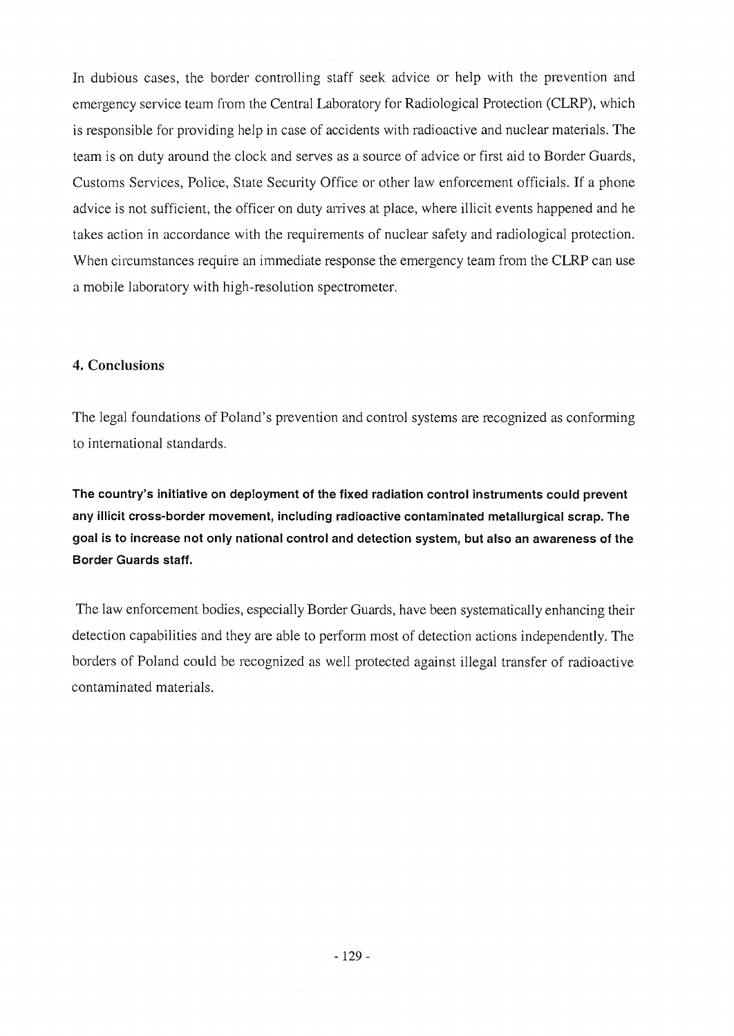In dubious cases, the border controlling staff seek advice or help with the prevention and emergency service team from the Central Laboratory for Radiological Protection (CLRP), which is responsible for providing help in case of accidents with radioactive and nuclear materials. The team is on duty around the clock and serves as a source of advice or first aid to Border Guards, Customs Services, Police, State Security Office or other law enforcement officials. If a phone advice is not sufficient, the officer on duty arrives at place, where illicit events happened and he takes action in accordance with the requirements of nuclear safety and radiological protection. When circumstances require an immediate response the emergency team from the CLRP can use a mobile laboratory with high-resolution spectrometer.

#### **4. Conclusions**

The legal foundations of Poland's prevention and control systems are recognized as conforming to international standards.

The country's initiative on deployment of the fixed radiation control instruments could prevent any illicit cross-border movement, including radioactive contaminated metallurgical scrap. The goal is to increase not only national control and detection system, but also an awareness of the Border Guards staff.

The law enforcement bodies, especially Border Guards, have been systematically enhancing their detection capabilities and they are able to perform most of detection actions independently. The borders of Poland could be recognized as well protected against illegal transfer of radioactive contaminated materials.